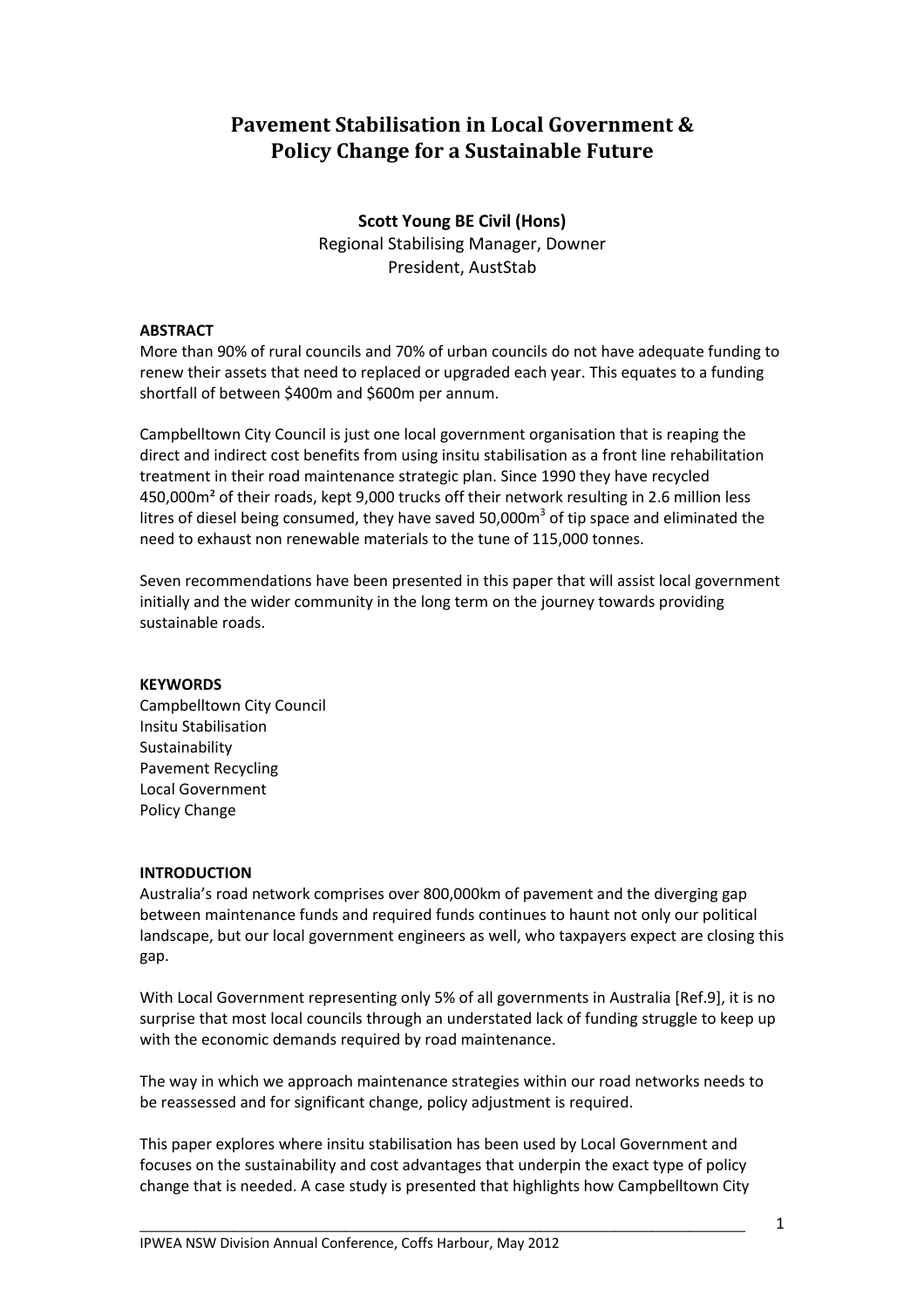# **Pavement Stabilisation in Local Government & Policy Change for a Sustainable Future**

**Scott Young BE Civil (Hons)** Regional Stabilising Manager, Downer President, AustStab

## **ABSTRACT**

More than 90% of rural councils and 70% of urban councils do not have adequate funding to renew their assets that need to replaced or upgraded each year. This equates to a funding shortfall of between \$400m and \$600m per annum.

Campbelltown City Council is just one local government organisation that is reaping the direct and indirect cost benefits from using insitu stabilisation as a front line rehabilitation treatment in their road maintenance strategic plan. Since 1990 they have recycled 450,000m<sup>2</sup> of their roads, kept 9,000 trucks off their network resulting in 2.6 million less litres of diesel being consumed, they have saved  $50,000m<sup>3</sup>$  of tip space and eliminated the need to exhaust non renewable materials to the tune of 115,000 tonnes.

Seven recommendations have been presented in this paper that will assist local government initially and the wider community in the long term on the journey towards providing sustainable roads.

## **KEYWORDS**

Campbelltown City Council Insitu Stabilisation Sustainability Pavement Recycling Local Government Policy Change

## **INTRODUCTION**

Australia's road network comprises over 800,000km of pavement and the diverging gap between maintenance funds and required funds continues to haunt not only our political landscape, but our local government engineers as well, who taxpayers expect are closing this gap.

With Local Government representing only 5% of all governments in Australia [Ref.9], it is no surprise that most local councils through an understated lack of funding struggle to keep up with the economic demands required by road maintenance.

The way in which we approach maintenance strategies within our road networks needs to be reassessed and for significant change, policy adjustment is required.

This paper explores where insitu stabilisation has been used by Local Government and focuses on the sustainability and cost advantages that underpin the exact type of policy change that is needed. A case study is presented that highlights how Campbelltown City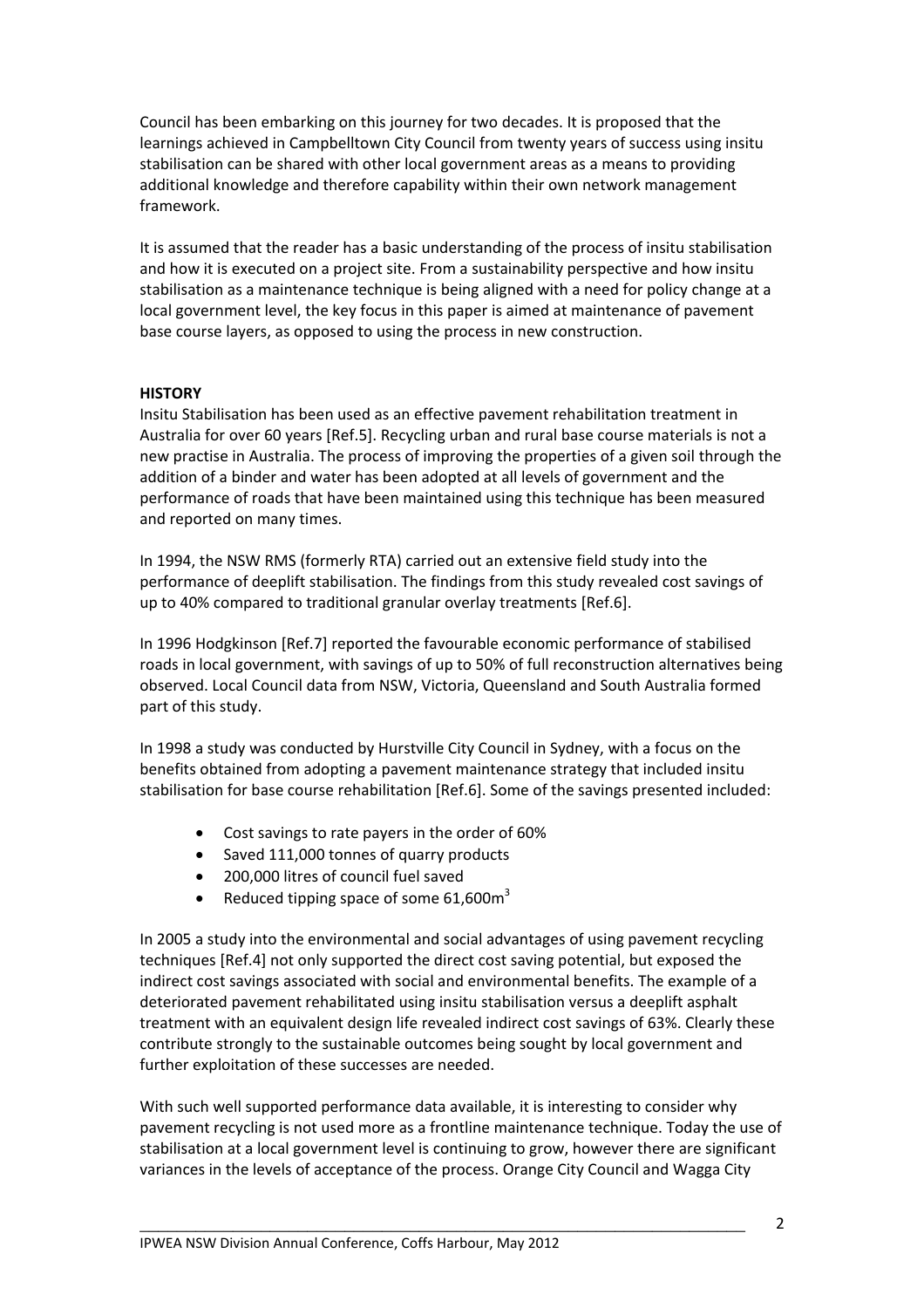Council has been embarking on this journey for two decades. It is proposed that the learnings achieved in Campbelltown City Council from twenty years of success using insitu stabilisation can be shared with other local government areas as a means to providing additional knowledge and therefore capability within their own network management framework.

It is assumed that the reader has a basic understanding of the process of insitu stabilisation and how it is executed on a project site. From a sustainability perspective and how insitu stabilisation as a maintenance technique is being aligned with a need for policy change at a local government level, the key focus in this paper is aimed at maintenance of pavement base course layers, as opposed to using the process in new construction.

## **HISTORY**

Insitu Stabilisation has been used as an effective pavement rehabilitation treatment in Australia for over 60 years [Ref.5]. Recycling urban and rural base course materials is not a new practise in Australia. The process of improving the properties of a given soil through the addition of a binder and water has been adopted at all levels of government and the performance of roads that have been maintained using this technique has been measured and reported on many times.

In 1994, the NSW RMS (formerly RTA) carried out an extensive field study into the performance of deeplift stabilisation. The findings from this study revealed cost savings of up to 40% compared to traditional granular overlay treatments [Ref.6].

In 1996 Hodgkinson [Ref.7] reported the favourable economic performance of stabilised roads in local government, with savings of up to 50% of full reconstruction alternatives being observed. Local Council data from NSW, Victoria, Queensland and South Australia formed part of this study.

In 1998 a study was conducted by Hurstville City Council in Sydney, with a focus on the benefits obtained from adopting a pavement maintenance strategy that included insitu stabilisation for base course rehabilitation [Ref.6]. Some of the savings presented included:

- Cost savings to rate payers in the order of 60%
- Saved 111,000 tonnes of quarry products
- 200,000 litres of council fuel saved
- Reduced tipping space of some  $61,600m<sup>3</sup>$

In 2005 a study into the environmental and social advantages of using pavement recycling techniques [Ref.4] not only supported the direct cost saving potential, but exposed the indirect cost savings associated with social and environmental benefits. The example of a deteriorated pavement rehabilitated using insitu stabilisation versus a deeplift asphalt treatment with an equivalent design life revealed indirect cost savings of 63%. Clearly these contribute strongly to the sustainable outcomes being sought by local government and further exploitation of these successes are needed.

With such well supported performance data available, it is interesting to consider why pavement recycling is not used more as a frontline maintenance technique. Today the use of stabilisation at a local government level is continuing to grow, however there are significant variances in the levels of acceptance of the process. Orange City Council and Wagga City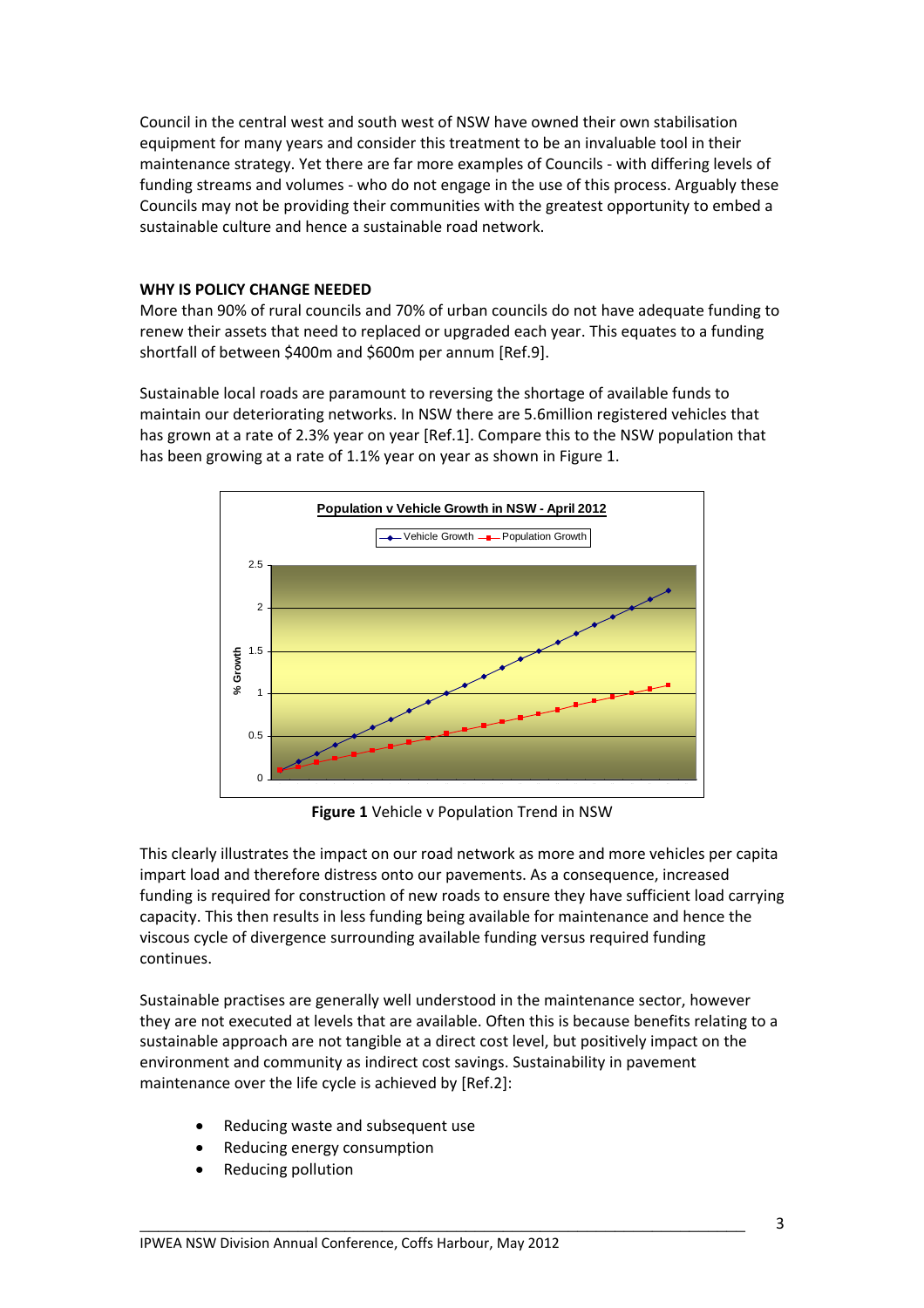Council in the central west and south west of NSW have owned their own stabilisation equipment for many years and consider this treatment to be an invaluable tool in their maintenance strategy. Yet there are far more examples of Councils ‐ with differing levels of funding streams and volumes - who do not engage in the use of this process. Arguably these Councils may not be providing their communities with the greatest opportunity to embed a sustainable culture and hence a sustainable road network.

# **WHY IS POLICY CHANGE NEEDED**

More than 90% of rural councils and 70% of urban councils do not have adequate funding to renew their assets that need to replaced or upgraded each year. This equates to a funding shortfall of between \$400m and \$600m per annum [Ref.9].

Sustainable local roads are paramount to reversing the shortage of available funds to maintain our deteriorating networks. In NSW there are 5.6million registered vehicles that has grown at a rate of 2.3% year on year [Ref.1]. Compare this to the NSW population that has been growing at a rate of 1.1% year on year as shown in Figure 1.



**Figure 1** Vehicle v Population Trend in NSW

This clearly illustrates the impact on our road network as more and more vehicles per capita impart load and therefore distress onto our pavements. As a consequence, increased funding is required for construction of new roads to ensure they have sufficient load carrying capacity. This then results in less funding being available for maintenance and hence the viscous cycle of divergence surrounding available funding versus required funding continues.

Sustainable practises are generally well understood in the maintenance sector, however they are not executed at levels that are available. Often this is because benefits relating to a sustainable approach are not tangible at a direct cost level, but positively impact on the environment and community as indirect cost savings. Sustainability in pavement maintenance over the life cycle is achieved by [Ref.2]:

- Reducing waste and subsequent use
- Reducing energy consumption
- Reducing pollution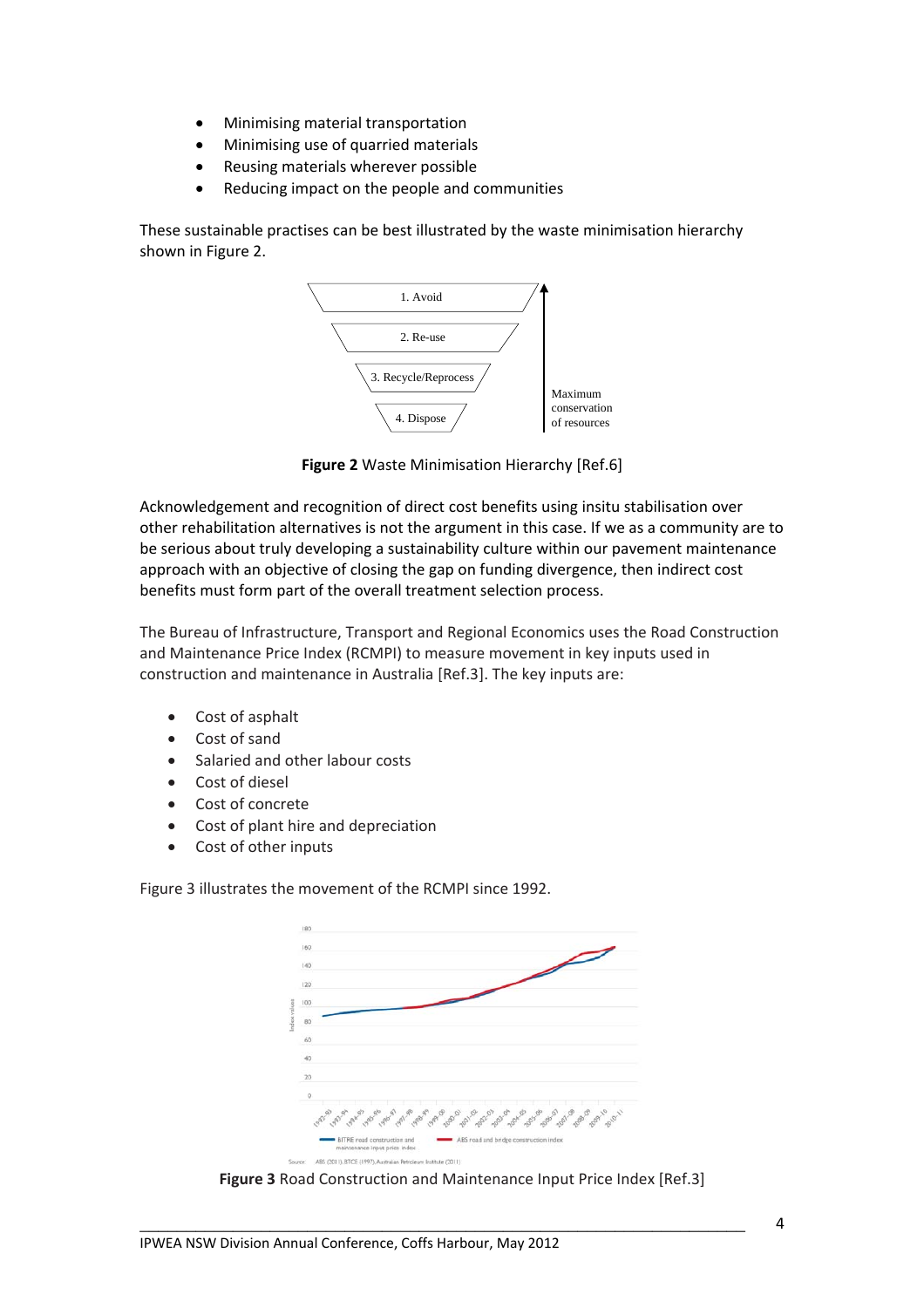- Minimising material transportation
- Minimising use of quarried materials
- Reusing materials wherever possible
- Reducing impact on the people and communities

These sustainable practises can be best illustrated by the waste minimisation hierarchy shown in Figure 2.



**Figure 2** Waste Minimisation Hierarchy [Ref.6]

Acknowledgement and recognition of direct cost benefits using insitu stabilisation over other rehabilitation alternatives is not the argument in this case. If we as a community are to be serious about truly developing a sustainability culture within our pavement maintenance approach with an objective of closing the gap on funding divergence, then indirect cost benefits must form part of the overall treatment selection process.

The Bureau of Infrastructure, Transport and Regional Economics uses the Road Construction and Maintenance Price Index (RCMPI) to measure movement in key inputs used in construction and maintenance in Australia [Ref.3]. The key inputs are:

- Cost of asphalt
- Cost of sand
- Salaried and other labour costs
- Cost of diesel
- Cost of concrete
- Cost of plant hire and depreciation
- Cost of other inputs

Figure 3 illustrates the movement of the RCMPI since 1992.



**Figure 3** Road Construction and Maintenance Input Price Index [Ref.3]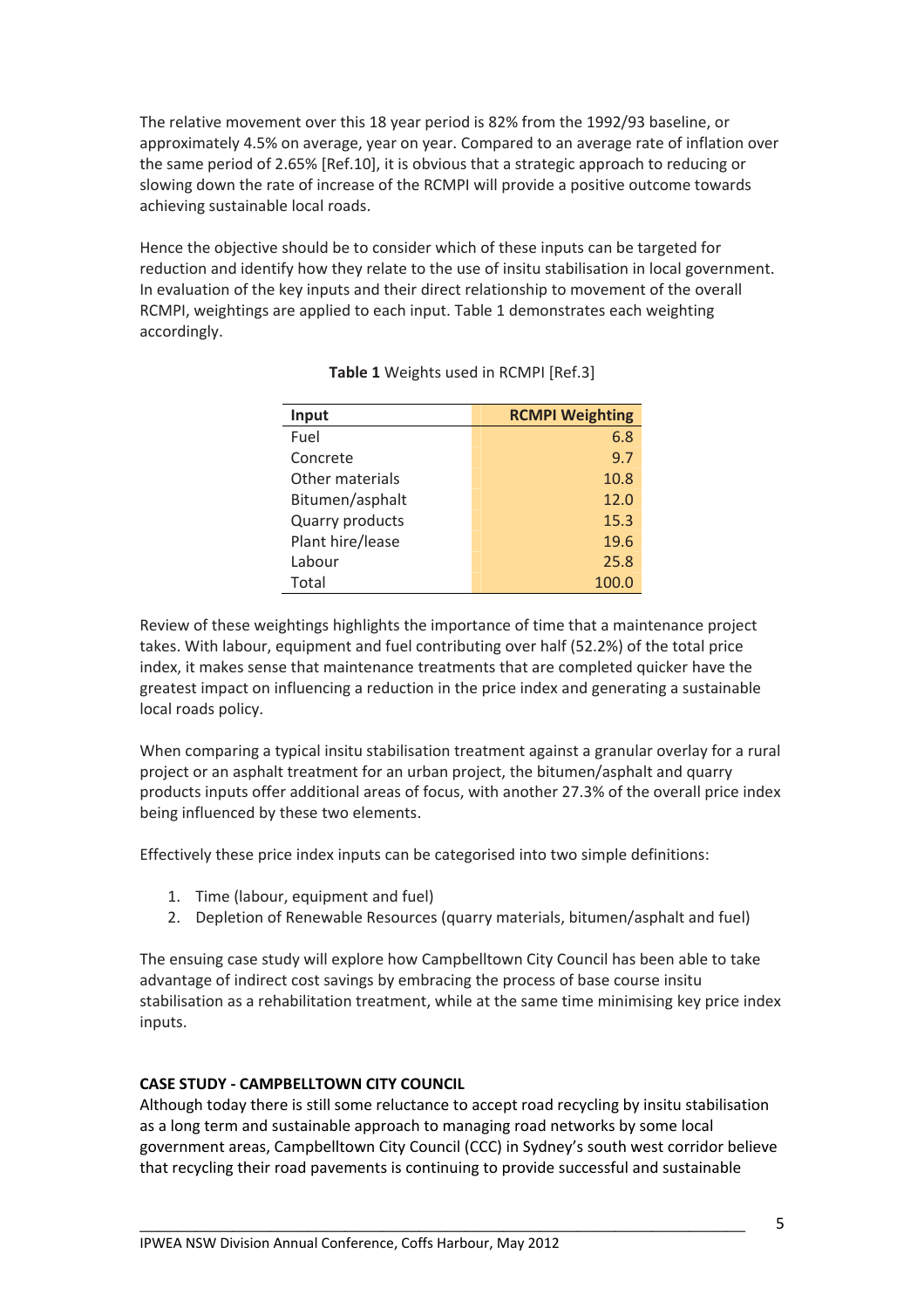The relative movement over this 18 year period is 82% from the 1992/93 baseline, or approximately 4.5% on average, year on year. Compared to an average rate of inflation over the same period of 2.65% [Ref.10], it is obvious that a strategic approach to reducing or slowing down the rate of increase of the RCMPI will provide a positive outcome towards achieving sustainable local roads.

Hence the objective should be to consider which of these inputs can be targeted for reduction and identify how they relate to the use of insitu stabilisation in local government. In evaluation of the key inputs and their direct relationship to movement of the overall RCMPI, weightings are applied to each input. Table 1 demonstrates each weighting accordingly.

| Input            | <b>RCMPI Weighting</b> |
|------------------|------------------------|
| Fuel             | 6.8                    |
| Concrete         | 9.7                    |
| Other materials  | 10.8                   |
| Bitumen/asphalt  | 12.0                   |
| Quarry products  | 15.3                   |
| Plant hire/lease | 19.6                   |
| Labour           | 25.8                   |
| Total            | 100.0                  |

# **Table 1** Weights used in RCMPI [Ref.3]

Review of these weightings highlights the importance of time that a maintenance project takes. With labour, equipment and fuel contributing over half (52.2%) of the total price index, it makes sense that maintenance treatments that are completed quicker have the greatest impact on influencing a reduction in the price index and generating a sustainable local roads policy.

When comparing a typical insitu stabilisation treatment against a granular overlay for a rural project or an asphalt treatment for an urban project, the bitumen/asphalt and quarry products inputs offer additional areas of focus, with another 27.3% of the overall price index being influenced by these two elements.

Effectively these price index inputs can be categorised into two simple definitions:

- 1. Time (labour, equipment and fuel)
- 2. Depletion of Renewable Resources (quarry materials, bitumen/asphalt and fuel)

The ensuing case study will explore how Campbelltown City Council has been able to take advantage of indirect cost savings by embracing the process of base course insitu stabilisation as a rehabilitation treatment, while at the same time minimising key price index inputs.

# **CASE STUDY ‐ CAMPBELLTOWN CITY COUNCIL**

Although today there is still some reluctance to accept road recycling by insitu stabilisation as a long term and sustainable approach to managing road networks by some local government areas, Campbelltown City Council (CCC) in Sydney's south west corridor believe that recycling their road pavements is continuing to provide successful and sustainable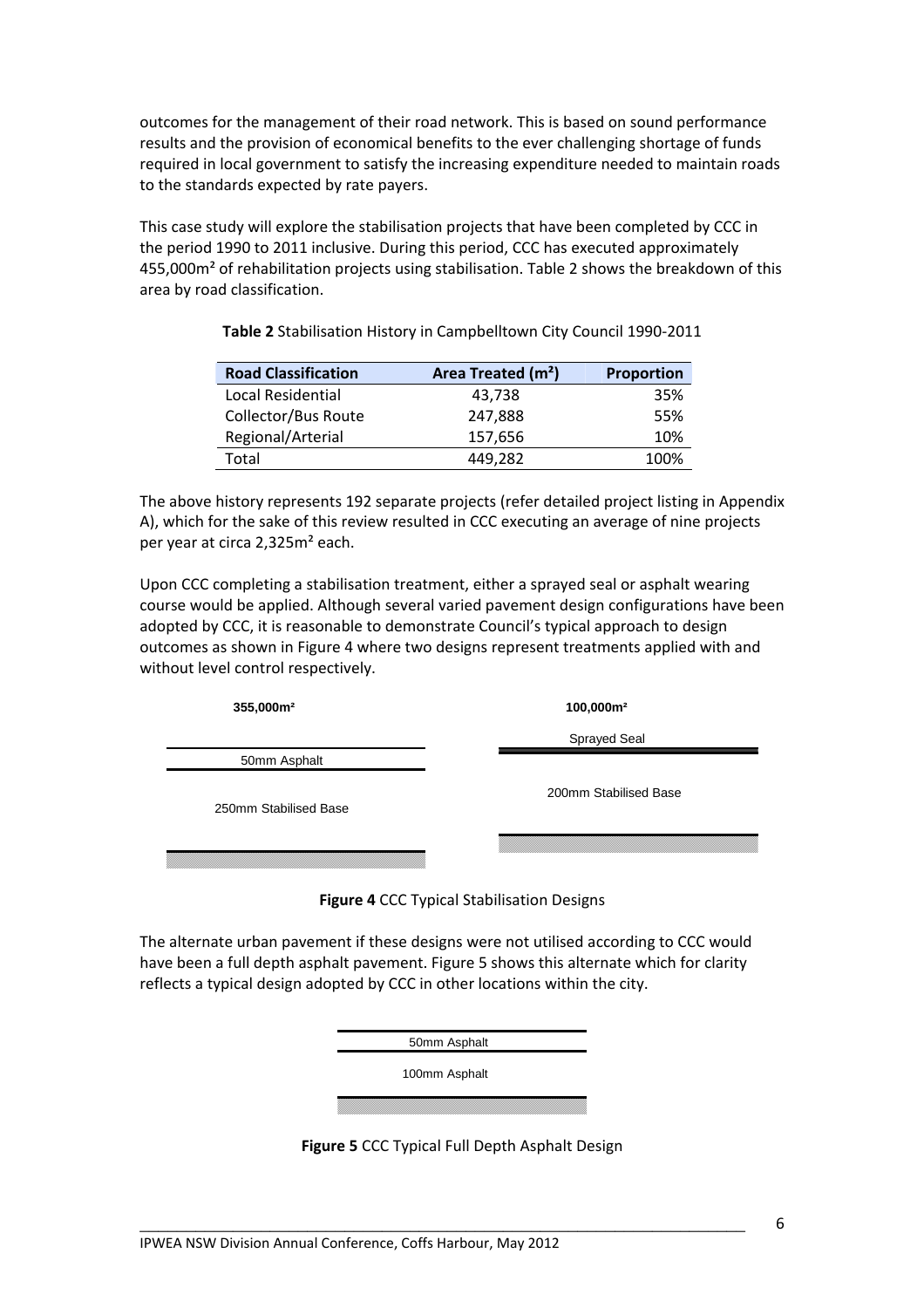outcomes for the management of their road network. This is based on sound performance results and the provision of economical benefits to the ever challenging shortage of funds required in local government to satisfy the increasing expenditure needed to maintain roads to the standards expected by rate payers.

This case study will explore the stabilisation projects that have been completed by CCC in the period 1990 to 2011 inclusive. During this period, CCC has executed approximately 455,000m<sup>2</sup> of rehabilitation projects using stabilisation. Table 2 shows the breakdown of this area by road classification.

| <b>Road Classification</b> | Area Treated (m <sup>2</sup> ) | <b>Proportion</b> |
|----------------------------|--------------------------------|-------------------|
| Local Residential          | 43,738                         | 35%               |
| Collector/Bus Route        | 247.888                        | 55%               |
| Regional/Arterial          | 157,656                        | 10%               |
| Total                      | 449.282                        | 100%              |

**Table 2** Stabilisation History in Campbelltown City Council 1990‐2011

The above history represents 192 separate projects (refer detailed project listing in Appendix A), which for the sake of this review resulted in CCC executing an average of nine projects per year at circa 2,325m² each.

Upon CCC completing a stabilisation treatment, either a sprayed seal or asphalt wearing course would be applied. Although several varied pavement design configurations have been adopted by CCC, it is reasonable to demonstrate Council's typical approach to design outcomes as shown in Figure 4 where two designs represent treatments applied with and without level control respectively.

**355,000m² 100,000m²** Sprayed Seal 50mm Asphalt 200mm Stabilised Base 250mm Stabilised Base

**Figure 4** CCC Typical Stabilisation Designs

The alternate urban pavement if these designs were not utilised according to CCC would have been a full depth asphalt pavement. Figure 5 shows this alternate which for clarity reflects a typical design adopted by CCC in other locations within the city.

50mm Asphalt

100mm Asphalt

**Figure 5** CCC Typical Full Depth Asphalt Design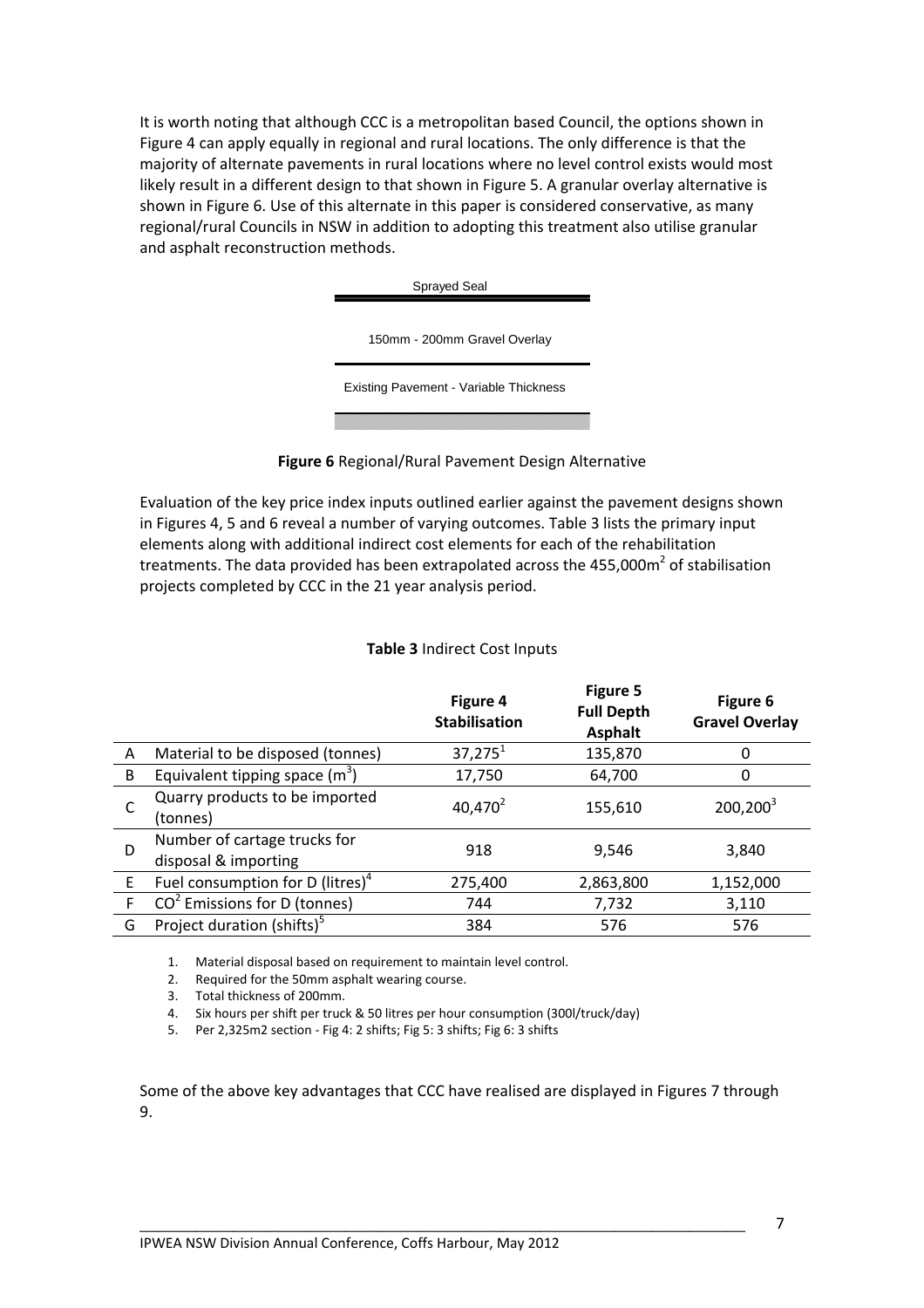It is worth noting that although CCC is a metropolitan based Council, the options shown in Figure 4 can apply equally in regional and rural locations. The only difference is that the majority of alternate pavements in rural locations where no level control exists would most likely result in a different design to that shown in Figure 5. A granular overlay alternative is shown in Figure 6. Use of this alternate in this paper is considered conservative, as many regional/rural Councils in NSW in addition to adopting this treatment also utilise granular and asphalt reconstruction methods.

| <b>Sprayed Seal</b>                           |  |  |  |
|-----------------------------------------------|--|--|--|
| 150mm - 200mm Gravel Overlay                  |  |  |  |
| <b>Existing Pavement - Variable Thickness</b> |  |  |  |
|                                               |  |  |  |

**Figure 6** Regional/Rural Pavement Design Alternative

Evaluation of the key price index inputs outlined earlier against the pavement designs shown in Figures 4, 5 and 6 reveal a number of varying outcomes. Table 3 lists the primary input elements along with additional indirect cost elements for each of the rehabilitation treatments. The data provided has been extrapolated across the  $455,000\,\mathrm{m}^2$  of stabilisation projects completed by CCC in the 21 year analysis period.

# **Table 3** Indirect Cost Inputs

|   |                                                      | Figure 4<br><b>Stabilisation</b> | <b>Figure 5</b><br><b>Full Depth</b><br><b>Asphalt</b> | Figure 6<br><b>Gravel Overlay</b> |
|---|------------------------------------------------------|----------------------------------|--------------------------------------------------------|-----------------------------------|
| A | Material to be disposed (tonnes)                     | $37,275^1$                       | 135,870                                                | 0                                 |
| B | Equivalent tipping space $(m^3)$                     | 17,750                           | 64,700                                                 | 0                                 |
|   | Quarry products to be imported<br>(tonnes)           | $40,470^2$                       | 155,610                                                | $200,200^3$                       |
| D | Number of cartage trucks for<br>disposal & importing | 918                              | 9,546                                                  | 3,840                             |
| E | Fuel consumption for D (litres) <sup>4</sup>         | 275,400                          | 2,863,800                                              | 1,152,000                         |
| F | $CO2$ Emissions for D (tonnes)                       | 744                              | 7,732                                                  | 3,110                             |
| G | Project duration (shifts) <sup>5</sup>               | 384                              | 576                                                    | 576                               |

1. Material disposal based on requirement to maintain level control.

2. Required for the 50mm asphalt wearing course.

3. Total thickness of 200mm.

4. Six hours per shift per truck & 50 litres per hour consumption (300l/truck/day)

5. Per 2,325m2 section ‐ Fig 4: 2 shifts; Fig 5: 3 shifts; Fig 6: 3 shifts

Some of the above key advantages that CCC have realised are displayed in Figures 7 through 9.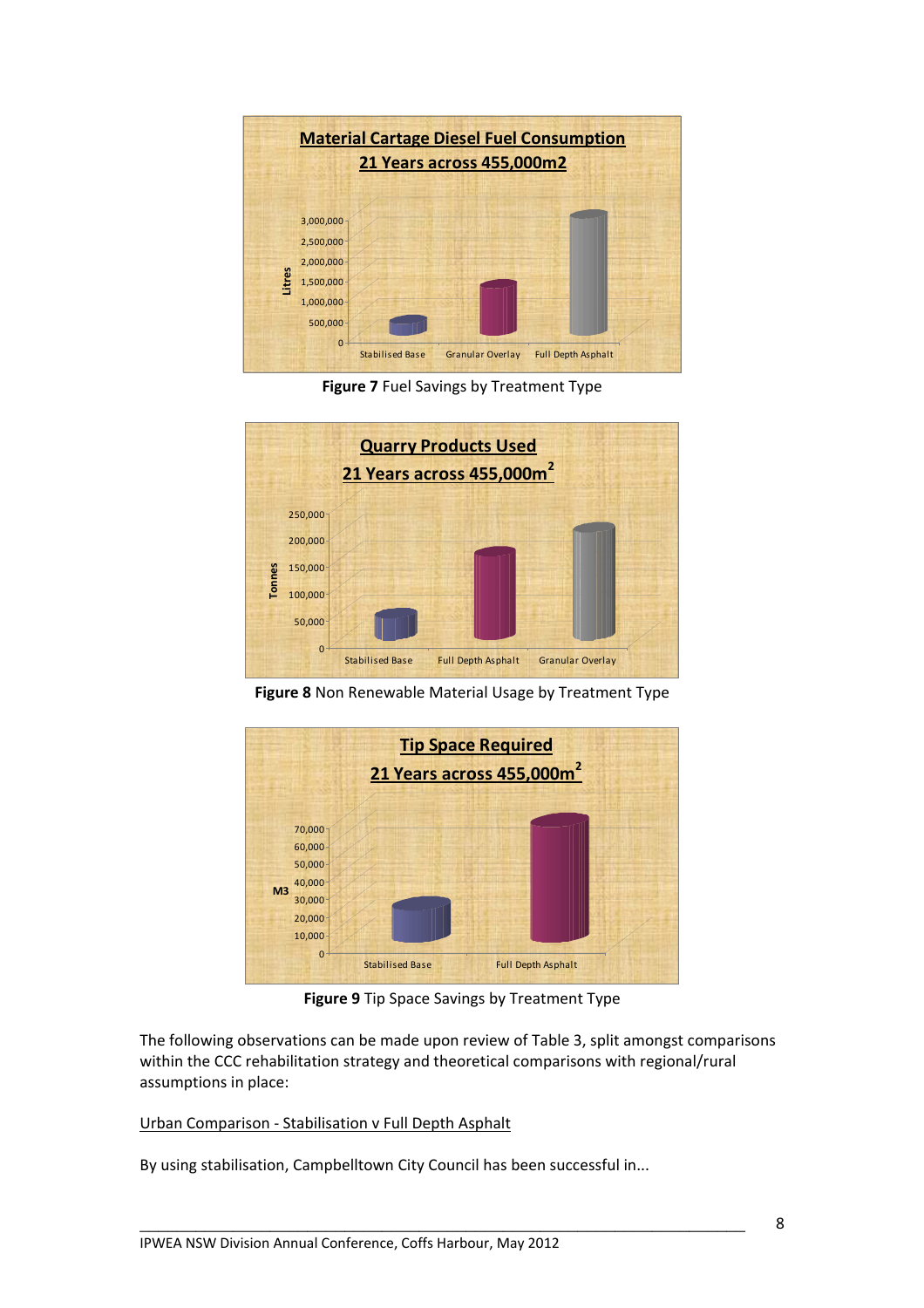

**Figure 7** Fuel Savings by Treatment Type



**Figure 8** Non Renewable Material Usage by Treatment Type



**Figure 9** Tip Space Savings by Treatment Type

The following observations can be made upon review of Table 3, split amongst comparisons within the CCC rehabilitation strategy and theoretical comparisons with regional/rural assumptions in place:

\_\_\_\_\_\_\_\_\_\_\_\_\_\_\_\_\_\_\_\_\_\_\_\_\_\_\_\_\_\_\_\_\_\_\_\_\_\_\_\_\_\_\_\_\_\_\_\_\_\_\_\_\_\_\_\_\_\_\_\_\_\_\_\_\_

# Urban Comparison ‐ Stabilisation v Full Depth Asphalt

By using stabilisation, Campbelltown City Council has been successful in...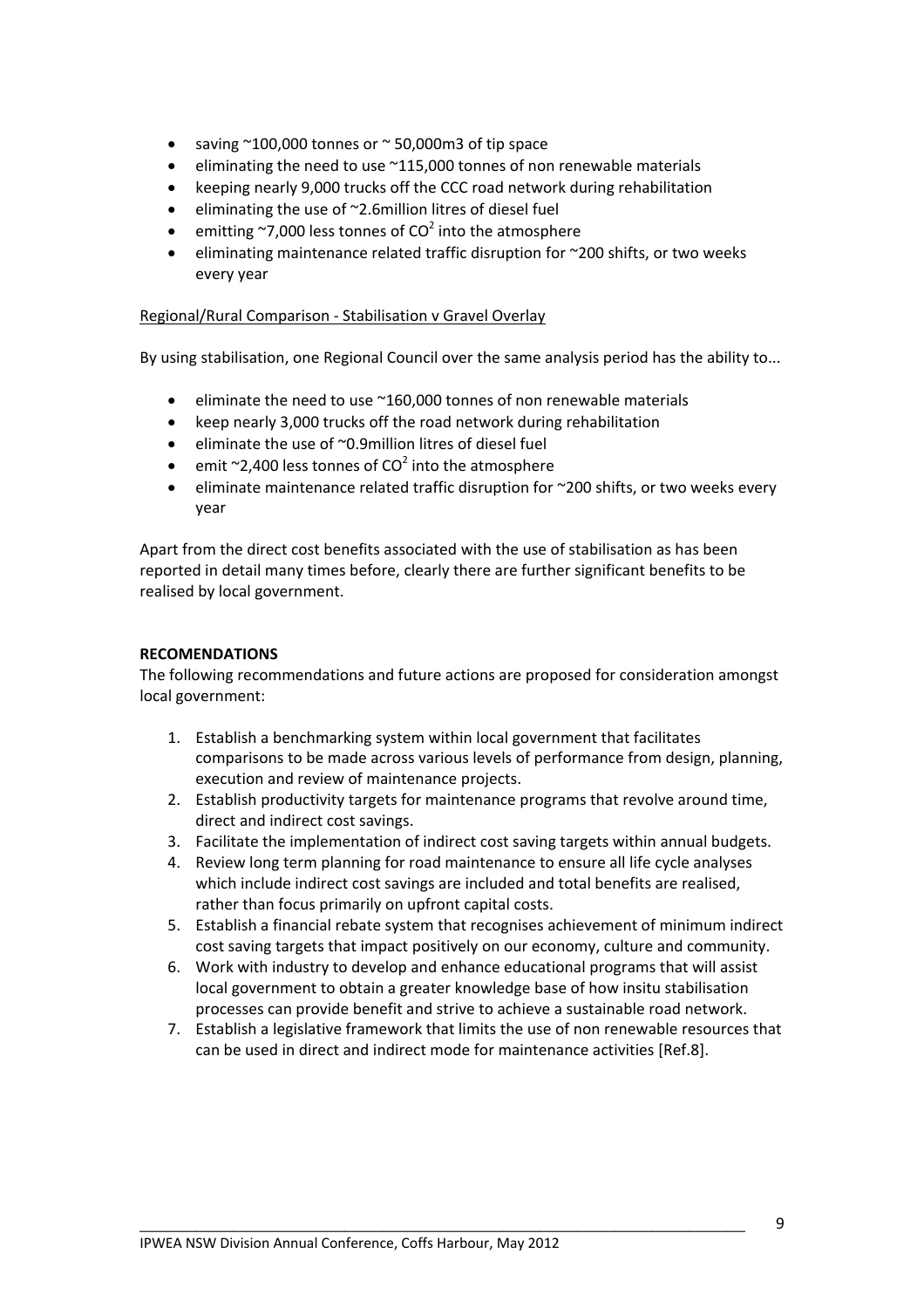- saving ~100,000 tonnes or ~ 50,000m3 of tip space
- eliminating the need to use ~115,000 tonnes of non renewable materials
- keeping nearly 9,000 trucks off the CCC road network during rehabilitation
- eliminating the use of  $\sim$ 2.6million litres of diesel fuel
- emitting  $\sim$ 7,000 less tonnes of CO<sup>2</sup> into the atmosphere
- eliminating maintenance related traffic disruption for ~200 shifts, or two weeks every year

# Regional/Rural Comparison ‐ Stabilisation v Gravel Overlay

By using stabilisation, one Regional Council over the same analysis period has the ability to...

- eliminate the need to use ~160,000 tonnes of non renewable materials
- keep nearly 3,000 trucks off the road network during rehabilitation
- eliminate the use of ~0.9million litres of diesel fuel
- emit  $\approx$  2.400 less tonnes of CO<sup>2</sup> into the atmosphere
- eliminate maintenance related traffic disruption for ~200 shifts, or two weeks every year

Apart from the direct cost benefits associated with the use of stabilisation as has been reported in detail many times before, clearly there are further significant benefits to be realised by local government.

# **RECOMENDATIONS**

The following recommendations and future actions are proposed for consideration amongst local government:

- 1. Establish a benchmarking system within local government that facilitates comparisons to be made across various levels of performance from design, planning, execution and review of maintenance projects.
- 2. Establish productivity targets for maintenance programs that revolve around time, direct and indirect cost savings.
- 3. Facilitate the implementation of indirect cost saving targets within annual budgets.
- 4. Review long term planning for road maintenance to ensure all life cycle analyses which include indirect cost savings are included and total benefits are realised, rather than focus primarily on upfront capital costs.
- 5. Establish a financial rebate system that recognises achievement of minimum indirect cost saving targets that impact positively on our economy, culture and community.
- 6. Work with industry to develop and enhance educational programs that will assist local government to obtain a greater knowledge base of how insitu stabilisation processes can provide benefit and strive to achieve a sustainable road network.

\_\_\_\_\_\_\_\_\_\_\_\_\_\_\_\_\_\_\_\_\_\_\_\_\_\_\_\_\_\_\_\_\_\_\_\_\_\_\_\_\_\_\_\_\_\_\_\_\_\_\_\_\_\_\_\_\_\_\_\_\_\_\_\_\_

7. Establish a legislative framework that limits the use of non renewable resources that can be used in direct and indirect mode for maintenance activities [Ref.8].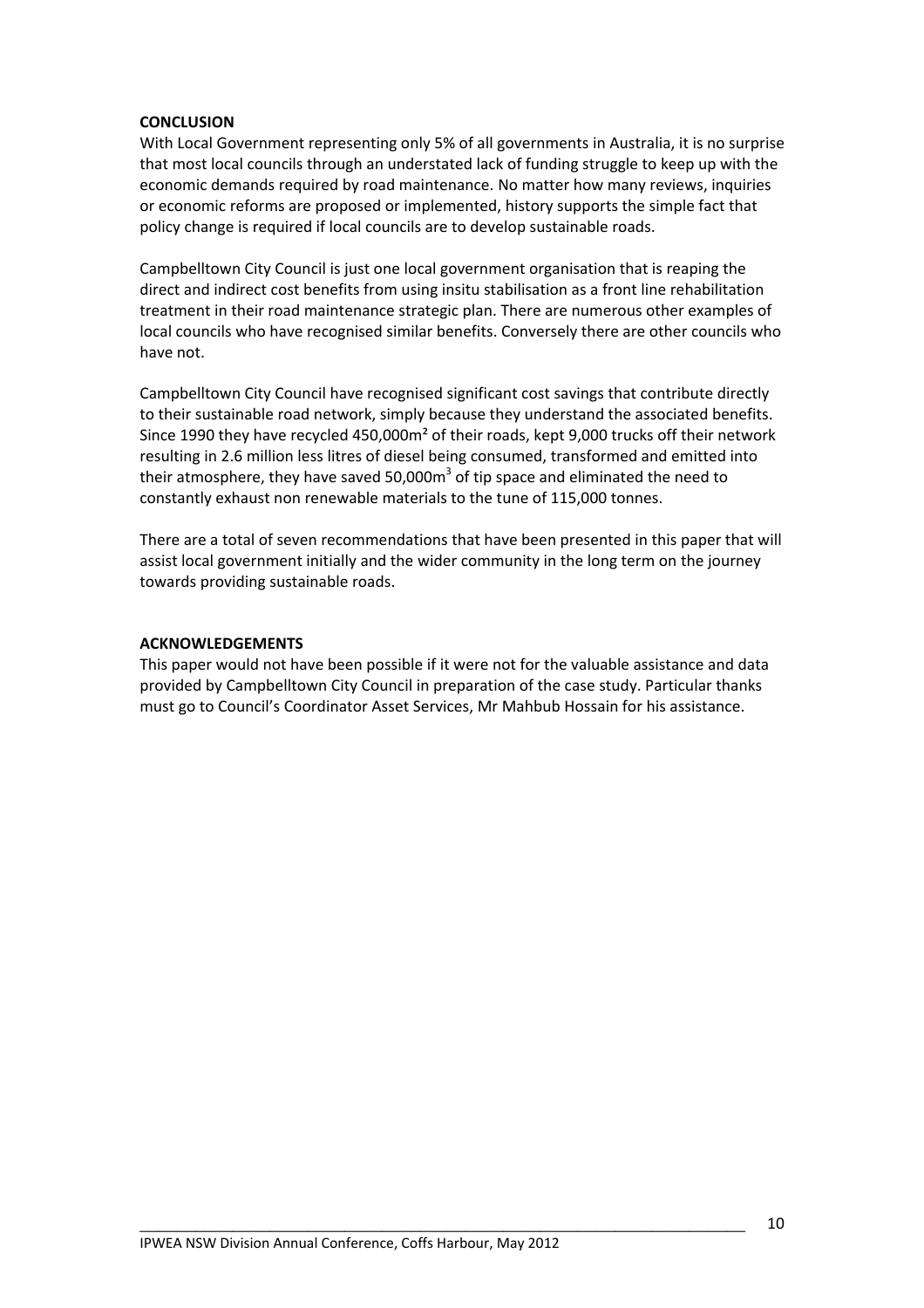## **CONCLUSION**

With Local Government representing only 5% of all governments in Australia, it is no surprise that most local councils through an understated lack of funding struggle to keep up with the economic demands required by road maintenance. No matter how many reviews, inquiries or economic reforms are proposed or implemented, history supports the simple fact that policy change is required if local councils are to develop sustainable roads.

Campbelltown City Council is just one local government organisation that is reaping the direct and indirect cost benefits from using insitu stabilisation as a front line rehabilitation treatment in their road maintenance strategic plan. There are numerous other examples of local councils who have recognised similar benefits. Conversely there are other councils who have not.

Campbelltown City Council have recognised significant cost savings that contribute directly to their sustainable road network, simply because they understand the associated benefits. Since 1990 they have recycled 450,000m² of their roads, kept 9,000 trucks off their network resulting in 2.6 million less litres of diesel being consumed, transformed and emitted into their atmosphere, they have saved 50,000 $m<sup>3</sup>$  of tip space and eliminated the need to constantly exhaust non renewable materials to the tune of 115,000 tonnes.

There are a total of seven recommendations that have been presented in this paper that will assist local government initially and the wider community in the long term on the journey towards providing sustainable roads.

# **ACKNOWLEDGEMENTS**

This paper would not have been possible if it were not for the valuable assistance and data provided by Campbelltown City Council in preparation of the case study. Particular thanks must go to Council's Coordinator Asset Services, Mr Mahbub Hossain for his assistance.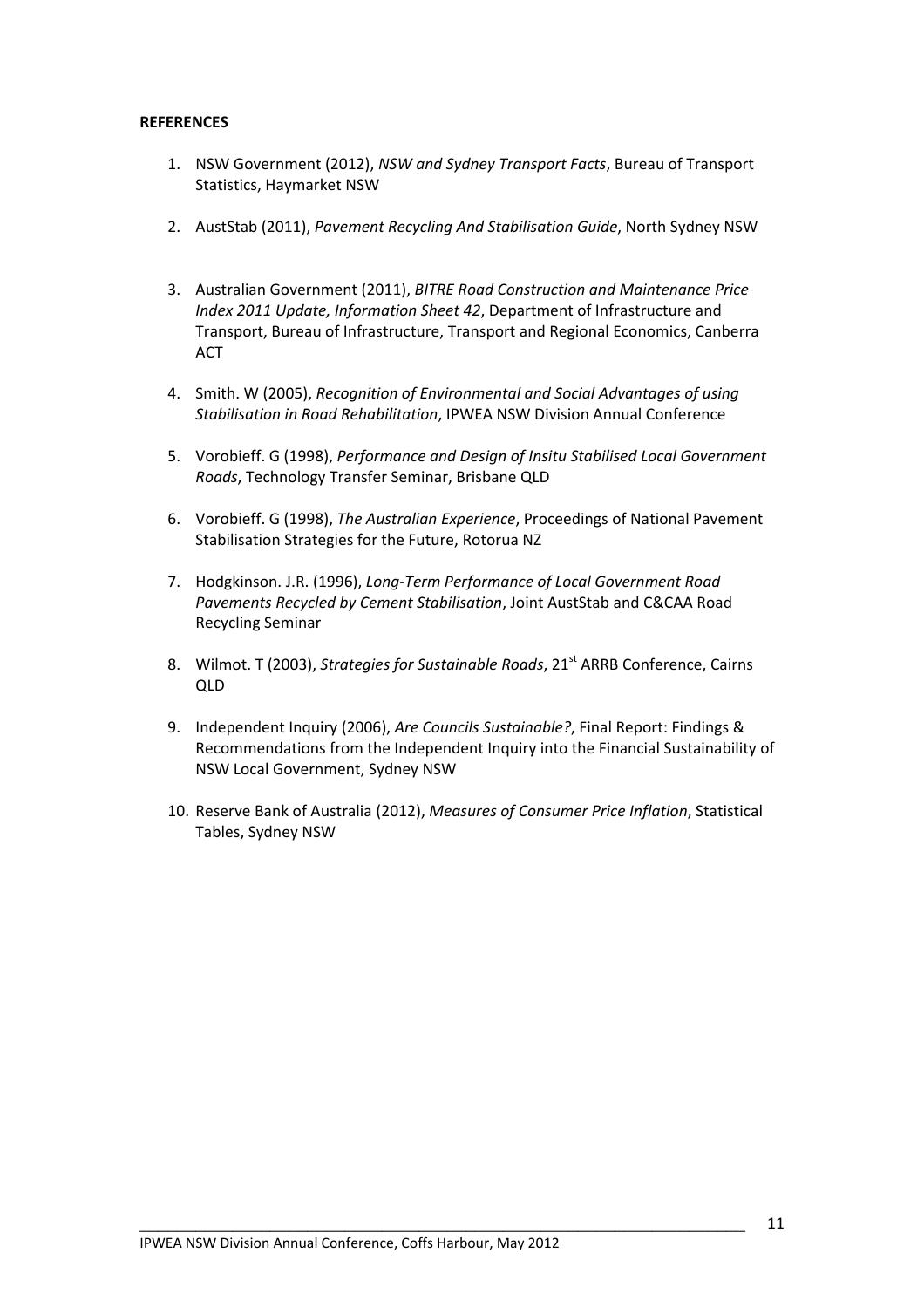#### **REFERENCES**

- 1. NSW Government (2012), *NSW and Sydney Transport Facts*, Bureau of Transport Statistics, Haymarket NSW
- 2. AustStab (2011), *Pavement Recycling And Stabilisation Guide*, North Sydney NSW
- 3. Australian Government (2011), *BITRE Road Construction and Maintenance Price Index 2011 Update, Information Sheet 42*, Department of Infrastructure and Transport, Bureau of Infrastructure, Transport and Regional Economics, Canberra **ACT**
- 4. Smith. W (2005), *Recognition of Environmental and Social Advantages of using Stabilisation in Road Rehabilitation*, IPWEA NSW Division Annual Conference
- 5. Vorobieff. G (1998), *Performance and Design of Insitu Stabilised Local Government Roads*, Technology Transfer Seminar, Brisbane QLD
- 6. Vorobieff. G (1998), *The Australian Experience*, Proceedings of National Pavement Stabilisation Strategies for the Future, Rotorua NZ
- 7. Hodgkinson. J.R. (1996), *Long‐Term Performance of Local Government Road Pavements Recycled by Cement Stabilisation*, Joint AustStab and C&CAA Road Recycling Seminar
- 8. Wilmot. T (2003), *Strategies for Sustainable Roads*, 21st ARRB Conference, Cairns QLD
- 9. Independent Inquiry (2006), *Are Councils Sustainable?*, Final Report: Findings & Recommendations from the Independent Inquiry into the Financial Sustainability of NSW Local Government, Sydney NSW
- 10. Reserve Bank of Australia (2012), *Measures of Consumer Price Inflation*, Statistical Tables, Sydney NSW